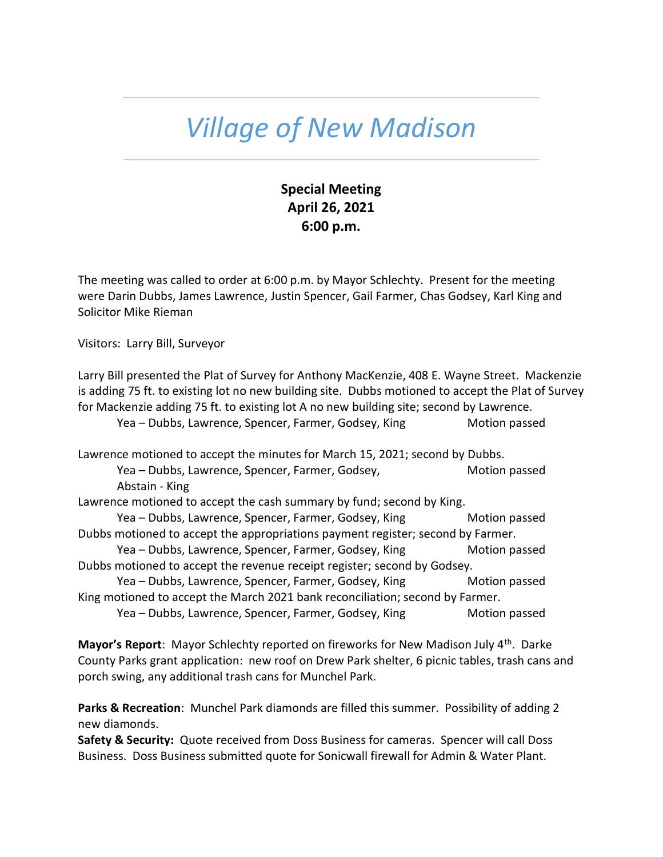## Village of New Madison

## Special Meeting April 26, 2021 6:00 p.m.

The meeting was called to order at 6:00 p.m. by Mayor Schlechty. Present for the meeting were Darin Dubbs, James Lawrence, Justin Spencer, Gail Farmer, Chas Godsey, Karl King and Solicitor Mike Rieman

Visitors: Larry Bill, Surveyor

Larry Bill presented the Plat of Survey for Anthony MacKenzie, 408 E. Wayne Street. Mackenzie is adding 75 ft. to existing lot no new building site. Dubbs motioned to accept the Plat of Survey for Mackenzie adding 75 ft. to existing lot A no new building site; second by Lawrence.

Yea - Dubbs, Lawrence, Spencer, Farmer, Godsey, King Motion passed

Lawrence motioned to accept the minutes for March 15, 2021; second by Dubbs.

Yea – Dubbs, Lawrence, Spencer, Farmer, Godsey, Motion passed Abstain - King

Lawrence motioned to accept the cash summary by fund; second by King.

Yea – Dubbs, Lawrence, Spencer, Farmer, Godsey, King Motion passed Dubbs motioned to accept the appropriations payment register; second by Farmer.

Yea – Dubbs, Lawrence, Spencer, Farmer, Godsey, King Motion passed Dubbs motioned to accept the revenue receipt register; second by Godsey.

- Yea Dubbs, Lawrence, Spencer, Farmer, Godsey, King Motion passed King motioned to accept the March 2021 bank reconciliation; second by Farmer.
	- Yea Dubbs, Lawrence, Spencer, Farmer, Godsey, King Motion passed

Mayor's Report: Mayor Schlechty reported on fireworks for New Madison July 4<sup>th</sup>. Darke County Parks grant application: new roof on Drew Park shelter, 6 picnic tables, trash cans and porch swing, any additional trash cans for Munchel Park.

Parks & Recreation: Munchel Park diamonds are filled this summer. Possibility of adding 2 new diamonds.

Safety & Security: Quote received from Doss Business for cameras. Spencer will call Doss Business. Doss Business submitted quote for Sonicwall firewall for Admin & Water Plant.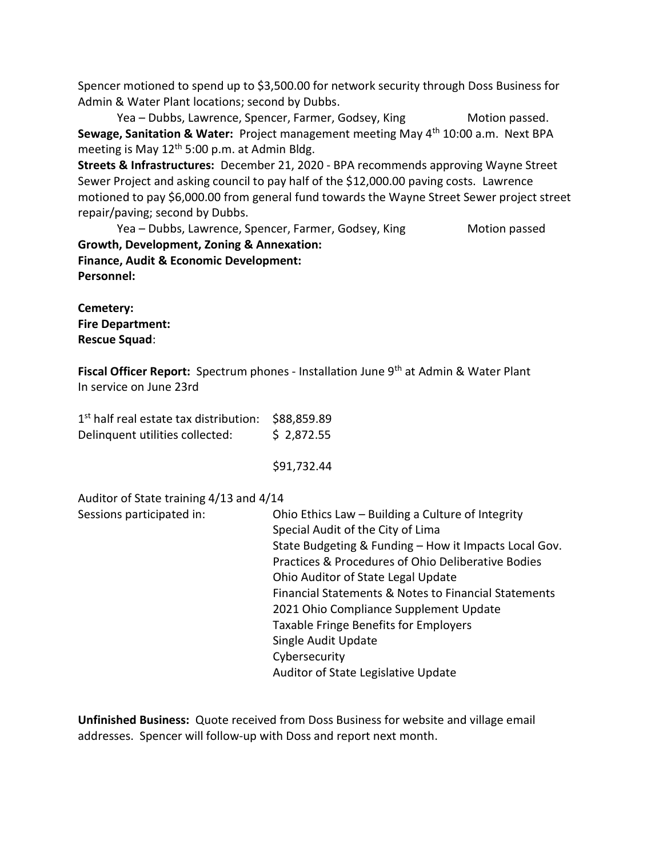Spencer motioned to spend up to \$3,500.00 for network security through Doss Business for Admin & Water Plant locations; second by Dubbs.

Yea – Dubbs, Lawrence, Spencer, Farmer, Godsey, King Motion passed. Sewage, Sanitation & Water: Project management meeting May 4<sup>th</sup> 10:00 a.m. Next BPA meeting is May  $12^{th}$  5:00 p.m. at Admin Bldg.

Streets & Infrastructures: December 21, 2020 - BPA recommends approving Wayne Street Sewer Project and asking council to pay half of the \$12,000.00 paving costs. Lawrence motioned to pay \$6,000.00 from general fund towards the Wayne Street Sewer project street repair/paving; second by Dubbs.

Yea – Dubbs, Lawrence, Spencer, Farmer, Godsey, King Motion passed Growth, Development, Zoning & Annexation: Finance, Audit & Economic Development: Personnel:

Cemetery: Fire Department: Rescue Squad:

Fiscal Officer Report: Spectrum phones - Installation June 9<sup>th</sup> at Admin & Water Plant In service on June 23rd

| $1st$ half real estate tax distribution: \$88,859.89 |            |
|------------------------------------------------------|------------|
| Delinquent utilities collected:                      | \$2,872.55 |

\$91,732.44

Auditor of State training 4/13 and 4/14

| Sessions participated in: | Ohio Ethics Law - Building a Culture of Integrity     |
|---------------------------|-------------------------------------------------------|
|                           | Special Audit of the City of Lima                     |
|                           | State Budgeting & Funding - How it Impacts Local Gov. |
|                           | Practices & Procedures of Ohio Deliberative Bodies    |
|                           | Ohio Auditor of State Legal Update                    |
|                           | Financial Statements & Notes to Financial Statements  |
|                           | 2021 Ohio Compliance Supplement Update                |
|                           | <b>Taxable Fringe Benefits for Employers</b>          |
|                           | Single Audit Update                                   |
|                           | Cybersecurity                                         |
|                           | Auditor of State Legislative Update                   |

Unfinished Business: Quote received from Doss Business for website and village email addresses. Spencer will follow-up with Doss and report next month.